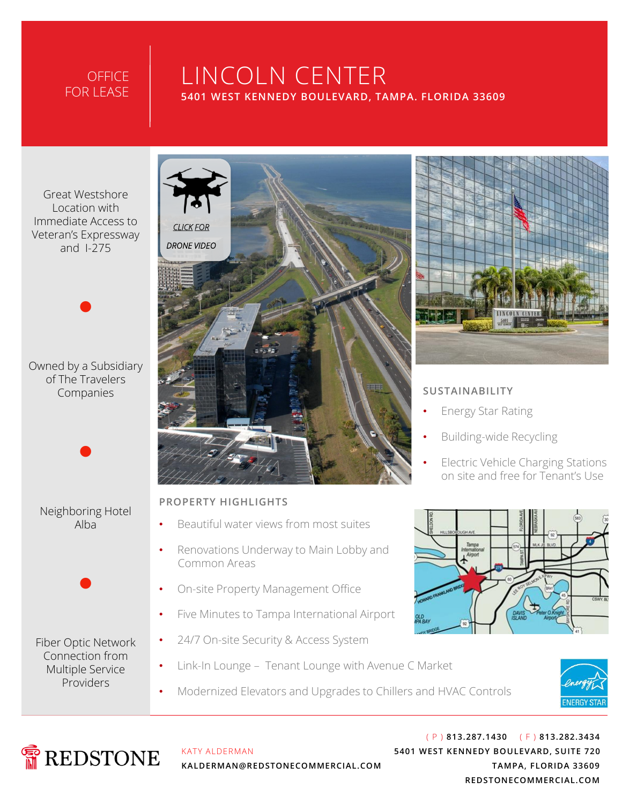#### **OFFICE** FOR LEASE

# LINCOLN CENTER **5401 WEST KENNEDY BOULEVARD, TAMPA. FLORIDA 33609**

Great Westshore Location with Immediate Access to Veteran's Expressway and I-275

Owned by a Subsidiary of The Travelers Companies

•



•

•

Fiber Optic Network Connection from Multiple Service Providers



#### **PROPERTY HIGHLIGHTS**

- Beautiful water views from most suites
- Renovations Underway to Main Lobby and Common Areas
- On-site Property Management Office
- Five Minutes to Tampa International Airport
- 24/7 On-site Security & Access System
- Link-In Lounge Tenant Lounge with Avenue C Market
- Modernized Elevators and Upgrades to Chillers and HVAC Controls





KATY ALDERMAN **KALDERMAN@REDSTONECOMMERCIAL.COM**

( P ) **813.287.1430** ( F ) **813.282.3434 5401 WEST KENNEDY BOULEVARD, SUITE 720 TAMPA, FLORIDA 33609 REDSTONECOMMERCIAL.COM**



#### **SUSTAINABILITY**

- Energy Star Rating
- Building-wide Recycling
- Electric Vehicle Charging Stations on site and free for Tenant's Use

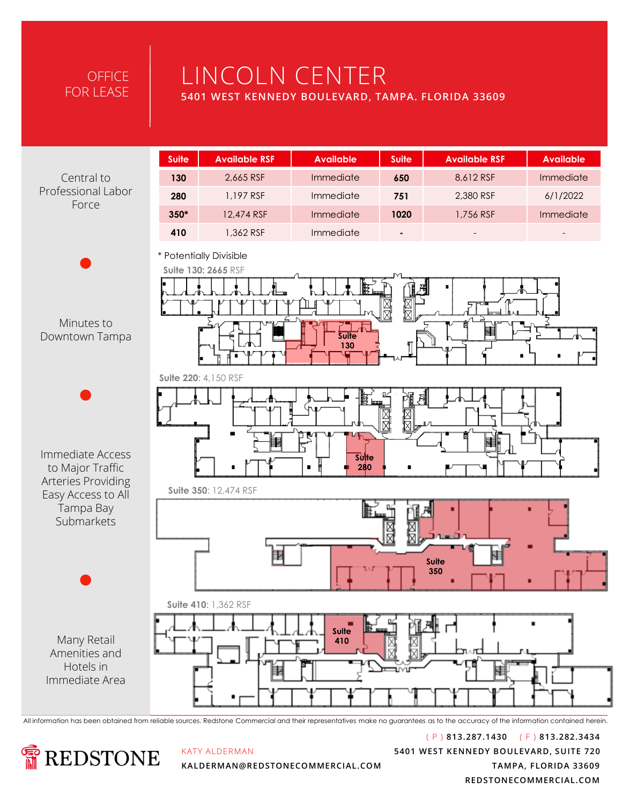## **OFFICE** FOR LEASE

# LINCOLN CENTER

**5401 WEST KENNEDY BOULEVARD, TAMPA. FLORIDA 33609** 

Arteries Providing

|                                           | <b>Suite</b>                                                          | <b>Available RSF</b> | <b>Available</b>             | <b>Suite</b> | <b>Available RSF</b> | <b>Available</b> |  |  |
|-------------------------------------------|-----------------------------------------------------------------------|----------------------|------------------------------|--------------|----------------------|------------------|--|--|
| Central to<br>Professional Labor<br>Force | 130                                                                   | 2,665 RSF            | Immediate                    | 650          | 8,612 RSF            | Immediate        |  |  |
|                                           | 280                                                                   | 1,197 RSF            | Immediate                    | 751          | 2,380 RSF            | 6/1/2022         |  |  |
|                                           | $350*$                                                                | 12,474 RSF           | Immediate                    | 1020         | 1,756 RSF            | Immediate        |  |  |
|                                           | 410                                                                   | 1,362 RSF            | Immediate                    |              |                      |                  |  |  |
| Minutes to<br>Downtown Tampa              | * Potentially Divisible<br>Suite 130: 2665 RSF<br><b>Suite</b><br>130 |                      |                              |              |                      |                  |  |  |
| Immediate Access<br>to Major Traffic      |                                                                       | Suite 220: 4,150 RSF | IB 69<br><b>Suite</b><br>280 | ⊠╠           |                      |                  |  |  |

**Suite 350**: 12,474 RSF



All information has been obtained from reliable sources. Redstone Commercial and their representatives make no guarantees as to the accuracy of the information contained herein.



KATY ALDERMAN

( P ) **813.287.1430** ( F ) **813.282.3434 5401 WEST KENNEDY BOULEVARD, SUITE 720 TAMPA, FLORIDA 33609 REDSTONECOMMERCIAL.COM**

**KALDERMAN@REDSTONECOMMERCIAL.COM**